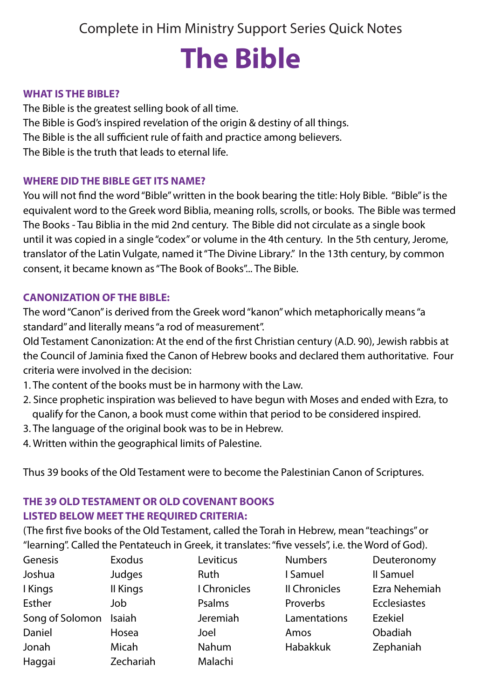Complete in Him Ministry Support Series Quick Notes

# **The Bible**

#### **WHAT IS THE BIBLE?**

The Bible is the greatest selling book of all time. The Bible is God's inspired revelation of the origin & destiny of all things. The Bible is the all sufficient rule of faith and practice among believers. The Bible is the truth that leads to eternal life.

#### **WHERE DID THE BIBLE GET ITS NAME?**

You will not find the word "Bible" written in the book bearing the title: Holy Bible. "Bible" is the equivalent word to the Greek word Biblia, meaning rolls, scrolls, or books. The Bible was termed The Books - Tau Biblia in the mid 2nd century. The Bible did not circulate as a single book until it was copied in a single "codex" or volume in the 4th century. In the 5th century, Jerome, translator of the Latin Vulgate, named it "The Divine Library." In the 13th century, by common consent, it became known as "The Book of Books"... The Bible.

#### **CANONIZATION OF THE BIBLE:**

The word "Canon" is derived from the Greek word "kanon" which metaphorically means "a standard" and literally means "a rod of measurement".

Old Testament Canonization: At the end of the first Christian century (A.D. 90), Jewish rabbis at the Council of Jaminia fixed the Canon of Hebrew books and declared them authoritative. Four criteria were involved in the decision:

- 1. The content of the books must be in harmony with the Law.
- 2. Since prophetic inspiration was believed to have begun with Moses and ended with Ezra, to qualify for the Canon, a book must come within that period to be considered inspired.
- 3. The language of the original book was to be in Hebrew.
- 4. Written within the geographical limits of Palestine.

Thus 39 books of the Old Testament were to become the Palestinian Canon of Scriptures.

## **THE 39 OLD TESTAMENT OR OLD COVENANT BOOKS LISTED BELOW MEET THE REQUIRED CRITERIA:**

(The first five books of the Old Testament, called the Torah in Hebrew, mean "teachings" or "learning". Called the Pentateuch in Greek, it translates: "five vessels", i.e. the Word of God).

| Genesis         | Exodus    | Leviticus    | <b>Numbers</b> | Deuteronomy         |
|-----------------|-----------|--------------|----------------|---------------------|
| Joshua          | Judges    | Ruth         | I Samuel       | Il Samuel           |
| I Kings         | II Kings  | I Chronicles | Il Chronicles  | Ezra Nehemiah       |
| Esther          | Job       | Psalms       | Proverbs       | <b>Ecclesiastes</b> |
| Song of Solomon | Isaiah    | Jeremiah     | Lamentations   | Ezekiel             |
| Daniel          | Hosea     | Joel         | Amos           | Obadiah             |
| Jonah           | Micah     | Nahum        | Habakkuk       | Zephaniah           |
| Haggai          | Zechariah | Malachi      |                |                     |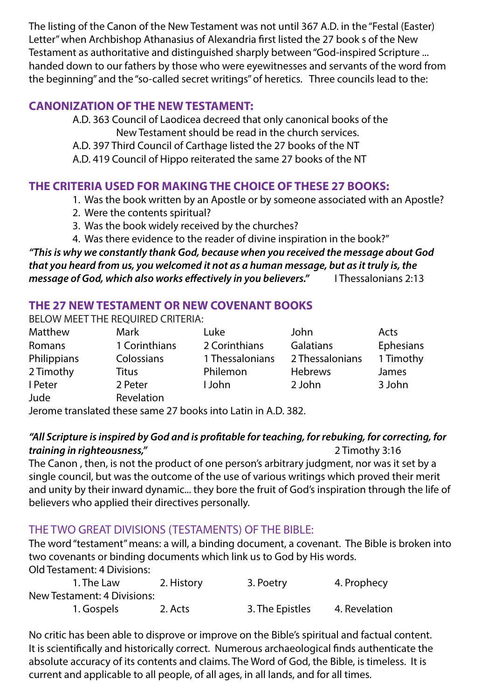The listing of the Canon of the New Testament was not until 367 A.D. in the "Festal (Easter) Letter" when Archbishop Athanasius of Alexandria first listed the 27 book s of the New Testament as authoritative and distinguished sharply between "God-inspired Scripture ... handed down to our fathers by those who were eyewitnesses and servants of the word from the beginning" and the "so-called secret writings" of heretics. Three councils lead to the:

# **CANONIZATION OF THE NEW TESTAMENT:**

A.D. 363 Council of Laodicea decreed that only canonical books of the New Testament should be read in the church services.

A.D. 397 Third Council of Carthage listed the 27 books of the NT

A.D. 419 Council of Hippo reiterated the same 27 books of the NT

## **THE CRITERIA USED FOR MAKING THE CHOICE OF THESE 27 BOOKS:**

- 1. Was the book written by an Apostle or by someone associated with an Apostle?
- 2. Were the contents spiritual?
- 3. Was the book widely received by the churches?
- 4. Was there evidence to the reader of divine inspiration in the book?"

*"This is why we constantly thank God, because when you received the message about God that you heard from us, you welcomed it not as a human message, but as it truly is, the message of God, which also works effectively in you believers."* I Thessalonians 2:13

# **THE 27 NEW TESTAMENT OR NEW COVENANT BOOKS**

BELOW MEET THE REQUIRED CRITERIA:

| Matthew     | Mark          | Luke            | John            | Acts      |
|-------------|---------------|-----------------|-----------------|-----------|
| Romans      | 1 Corinthians | 2 Corinthians   | Galatians       | Ephesians |
| Philippians | Colossians    | 1 Thessalonians | 2 Thessalonians | 1 Timothy |
| 2 Timothy   | Titus         | Philemon        | <b>Hebrews</b>  | James     |
| I Peter     | 2 Peter       | I John          | 2 John          | 3 John    |
| Jude        | Revelation    |                 |                 |           |
|             |               |                 |                 |           |

Jerome translated these same 27 books into Latin in A.D. 382.

# *"All Scripture is inspired by God and is profitable for teaching, for rebuking, for correcting, for training in righteousness,"* 2 Timothy 3:16

The Canon , then, is not the product of one person's arbitrary judgment, nor was it set by a single council, but was the outcome of the use of various writings which proved their merit and unity by their inward dynamic... they bore the fruit of God's inspiration through the life of believers who applied their directives personally.

# THE TWO GREAT DIVISIONS (TESTAMENTS) OF THE BIBLE:

The word "testament" means: a will, a binding document, a covenant. The Bible is broken into two covenants or binding documents which link us to God by His words. Old Testament: 4 Divisions:

| 1. The Law                  | 2. History | 3. Poetry       | 4. Prophecy   |
|-----------------------------|------------|-----------------|---------------|
| New Testament: 4 Divisions: |            |                 |               |
| 1. Gospels                  | 2. Acts    | 3. The Epistles | 4. Revelation |

No critic has been able to disprove or improve on the Bible's spiritual and factual content. It is scientifically and historically correct. Numerous archaeological finds authenticate the absolute accuracy of its contents and claims. The Word of God, the Bible, is timeless. It is current and applicable to all people, of all ages, in all lands, and for all times.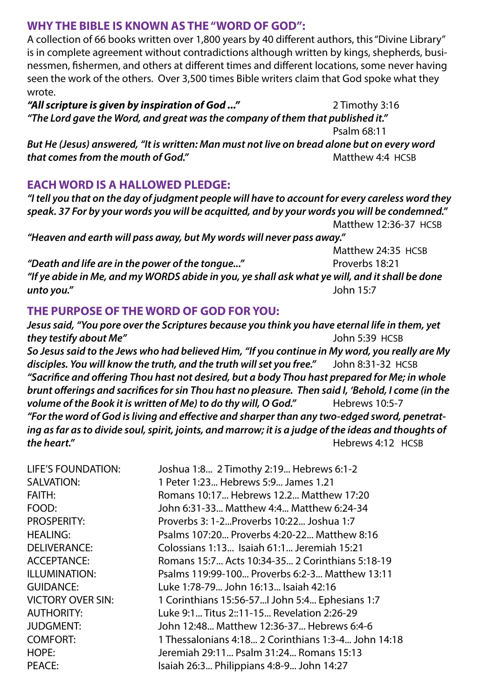### **WHY THE BIBLE IS KNOWN AS THE "WORD OF GOD":**

A collection of 66 books written over 1,800 years by 40 different authors, this "Divine Library" is in complete agreement without contradictions although written by kings, shepherds, businessmen, fishermen, and others at different times and different locations, some never having seen the work of the others. Over 3,500 times Bible writers claim that God spoke what they wrote.

*"All scripture is given by inspiration of God ..."* 2 Timothy 3:16 *"The Lord gave the Word, and great was the company of them that published it."*  Psalm 68:11

*But He (Jesus) answered, "It is written: Man must not live on bread alone but on every word that comes from the mouth of God."* 2008 **Matthew 4:4 HCSB** 

## **EACH WORD IS A HALLOWED PLEDGE:**

*"I tell you that on the day of judgment people will have to account for every careless word they speak. 37 For by your words you will be acquitted, and by your words you will be condemned."*  Matthew 12:36-37 HCSB *"Heaven and earth will pass away, but My words will never pass away."* Matthew 24:35 HCSB *"Death and life are in the power of the tongue..."* Proverbs 18:21 *"If ye abide in Me, and my WORDS abide in you, ye shall ask what ye will, and it shall be done unto you."* John 15:7

## **THE PURPOSE OF THE WORD OF GOD FOR YOU:**

*Jesus said, "You pore over the Scriptures because you think you have eternal life in them, yet they testify about Me"* John 5:39 HCSB *So Jesus said to the Jews who had believed Him, "If you continue in My word, you really are My disciples. You will know the truth, and the truth will set you free."* John 8:31-32 HCSB *"Sacrifice and offering Thou hast not desired, but a body Thou hast prepared for Me; in whole brunt offerings and sacrifices for sin Thou hast no pleasure. Then said I, 'Behold, I come (in the volume of the Book it is written of Me) to do thy will, O God."* Hebrews 10:5-7 *"For the word of God is living and effective and sharper than any two-edged sword, penetrating as far as to divide soul, spirit, joints, and marrow; it is a judge of the ideas and thoughts of the heart."* All the heart." **Hebrews 4:12 HCSB** 

| LIFE'S FOUNDATION: | Joshua 1:8 2 Timothy 2:19 Hebrews 6:1-2             |
|--------------------|-----------------------------------------------------|
| SALVATION:         | 1 Peter 1:23 Hebrews 5:9 James 1.21                 |
| <b>FAITH:</b>      | Romans 10:17 Hebrews 12.2 Matthew 17:20             |
| FOOD:              | John 6:31-33 Matthew 4:4 Matthew 6:24-34            |
| PROSPERITY:        | Proverbs 3: 1-2 Proverbs 10:22 Joshua 1:7           |
| HEALING:           | Psalms 107:20 Proverbs 4:20-22 Matthew 8:16         |
| DELIVERANCE:       | Colossians 1:13 Isaiah 61:1 Jeremiah 15:21          |
| ACCEPTANCE:        | Romans 15:7 Acts 10:34-35 2 Corinthians 5:18-19     |
| ILLUMINATION:      | Psalms 119:99-100 Proverbs 6:2-3 Matthew 13:11      |
| GUIDANCE:          | Luke 1:78-79 John 16:13 Isaiah 42:16                |
| VICTORY OVER SIN:  | 1 Corinthians 15:56-57 John 5:4 Ephesians 1:7       |
| AUTHORITY:         | Luke 9:1 Titus 2::11-15 Revelation 2:26-29          |
| <b>JUDGMENT:</b>   | John 12:48 Matthew 12:36-37 Hebrews 6:4-6           |
| <b>COMFORT:</b>    | 1 Thessalonians 4:18 2 Corinthians 1:3-4 John 14:18 |
| HOPE:              | Jeremiah 29:11 Psalm 31:24 Romans 15:13             |
| PEACE:             | Isaiah 26:3 Philippians 4:8-9 John 14:27            |